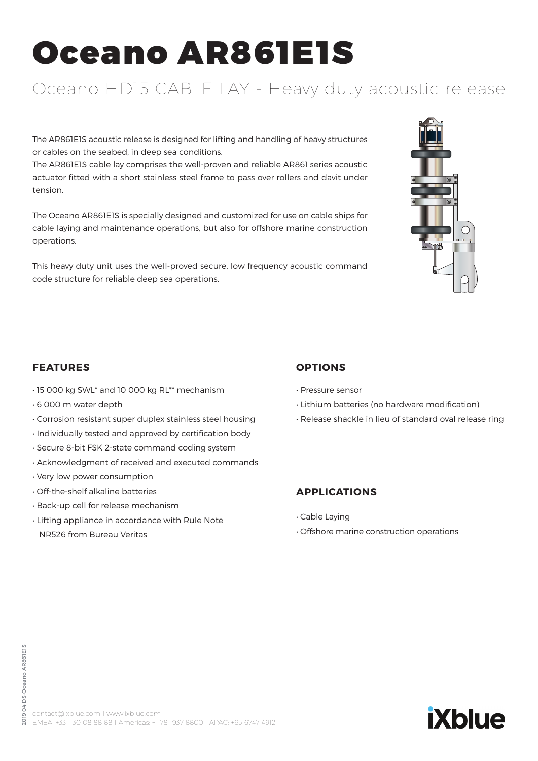# Oceano AR861E1S

### Oceano HD15 CABLE LAY - Heavy duty acoustic release

The AR861E1S acoustic release is designed for lifting and handling of heavy structures or cables on the seabed, in deep sea conditions.

The AR861E1S cable lay comprises the well-proven and reliable AR861 series acoustic actuator fitted with a short stainless steel frame to pass over rollers and davit under tension.

The Oceano AR861E1S is specially designed and customized for use on cable ships for cable laying and maintenance operations, but also for offshore marine construction operations.

This heavy duty unit uses the well-proved secure, low frequency acoustic command code structure for reliable deep sea operations.



#### **FEATURES**

- 15 000 kg SWL\* and 10 000 kg RL\*\* mechanism
- 6 000 m water depth
- Corrosion resistant super duplex stainless steel housing
- Individually tested and approved by certification body
- Secure 8-bit FSK 2-state command coding system
- Acknowledgment of received and executed commands
- Very low power consumption
- Off-the-shelf alkaline batteries
- Back-up cell for release mechanism
- Lifting appliance in accordance with Rule Note NR526 from Bureau Veritas

#### **OPTIONS**

- Pressure sensor
- Lithium batteries (no hardware modification)
- Release shackle in lieu of standard oval release ring

#### **APPLICATIONS**

- Cable Laying
- Offshore marine construction operations

## **iXblue**